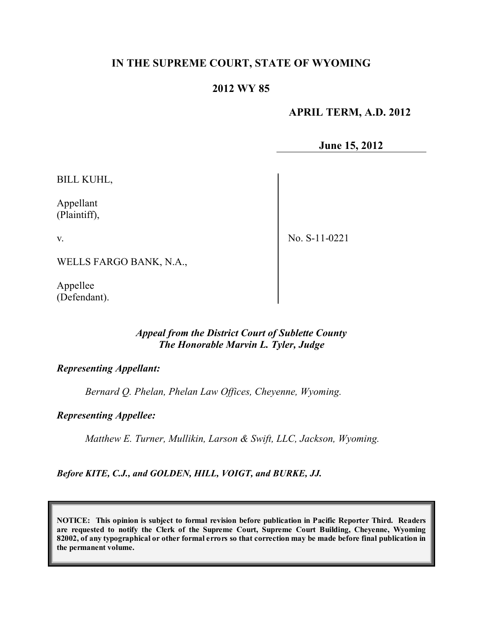# **IN THE SUPREME COURT, STATE OF WYOMING**

# **2012 WY 85**

 **APRIL TERM, A.D. 2012**

**June 15, 2012**

BILL KUHL,

Appellant (Plaintiff),

v.

No. S-11-0221

WELLS FARGO BANK, N.A.,

Appellee (Defendant).

#### *Appeal from the District Court of Sublette County The Honorable Marvin L. Tyler, Judge*

# *Representing Appellant:*

*Bernard Q. Phelan, Phelan Law Offices, Cheyenne, Wyoming.*

*Representing Appellee:*

*Matthew E. Turner, Mullikin, Larson & Swift, LLC, Jackson, Wyoming.*

*Before KITE, C.J., and GOLDEN, HILL, VOIGT, and BURKE, JJ.*

**NOTICE: This opinion is subject to formal revision before publication in Pacific Reporter Third. Readers are requested to notify the Clerk of the Supreme Court, Supreme Court Building, Cheyenne, Wyoming** 82002, of any typographical or other formal errors so that correction may be made before final publication in **the permanent volume.**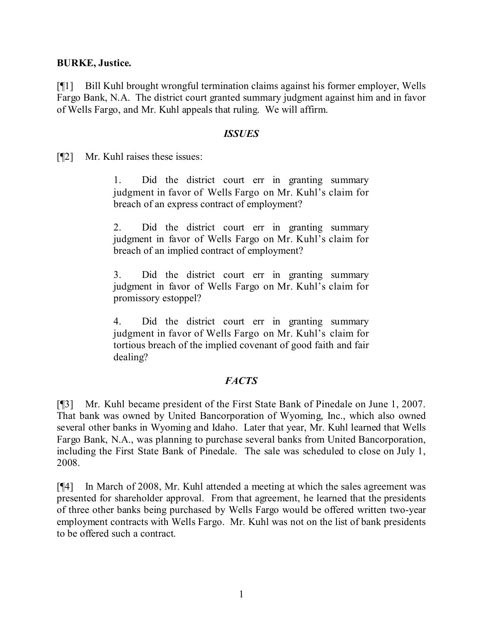### **BURKE, Justice.**

[¶1] Bill Kuhl brought wrongful termination claims against his former employer, Wells Fargo Bank, N.A. The district court granted summary judgment against him and in favor of Wells Fargo, and Mr. Kuhl appeals that ruling. We will affirm.

#### *ISSUES*

[¶2] Mr. Kuhl raises these issues:

1. Did the district court err in granting summary judgment in favor of Wells Fargo on Mr. Kuhl's claim for breach of an express contract of employment?

2. Did the district court err in granting summary judgment in favor of Wells Fargo on Mr. Kuhl's claim for breach of an implied contract of employment?

3. Did the district court err in granting summary judgment in favor of Wells Fargo on Mr. Kuhl's claim for promissory estoppel?

4. Did the district court err in granting summary judgment in favor of Wells Fargo on Mr. Kuhl's claim for tortious breach of the implied covenant of good faith and fair dealing?

# *FACTS*

[¶3] Mr. Kuhl became president of the First State Bank of Pinedale on June 1, 2007. That bank was owned by United Bancorporation of Wyoming, Inc., which also owned several other banks in Wyoming and Idaho. Later that year, Mr. Kuhl learned that Wells Fargo Bank, N.A., was planning to purchase several banks from United Bancorporation, including the First State Bank of Pinedale. The sale was scheduled to close on July 1, 2008.

[¶4] In March of 2008, Mr. Kuhl attended a meeting at which the sales agreement was presented for shareholder approval. From that agreement, he learned that the presidents of three other banks being purchased by Wells Fargo would be offered written two-year employment contracts with Wells Fargo. Mr. Kuhl was not on the list of bank presidents to be offered such a contract.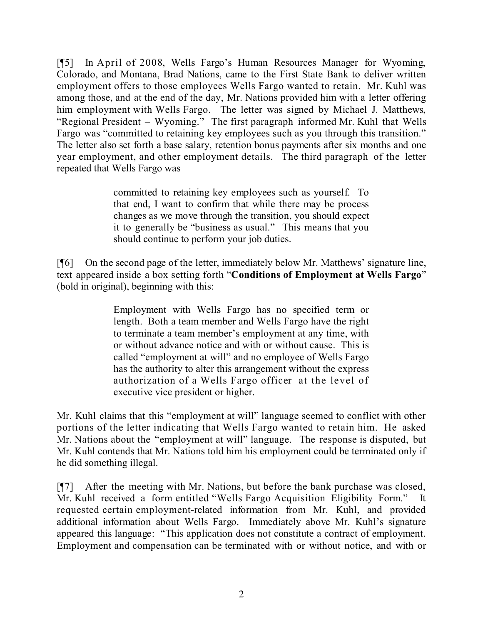[¶5] In April of 2008, Wells Fargo's Human Resources Manager for Wyoming, Colorado, and Montana, Brad Nations, came to the First State Bank to deliver written employment offers to those employees Wells Fargo wanted to retain. Mr. Kuhl was among those, and at the end of the day, Mr. Nations provided him with a letter offering him employment with Wells Fargo. The letter was signed by Michael J. Matthews, "Regional President – Wyoming." The first paragraph informed Mr. Kuhl that Wells Fargo was "committed to retaining key employees such as you through this transition." The letter also set forth a base salary, retention bonus payments after six months and one year employment, and other employment details. The third paragraph of the letter repeated that Wells Fargo was

> committed to retaining key employees such as yourself. To that end, I want to confirm that while there may be process changes as we move through the transition, you should expect it to generally be "business as usual." This means that you should continue to perform your job duties.

[¶6] On the second page of the letter, immediately below Mr. Matthews' signature line, text appeared inside a box setting forth "**Conditions of Employment at Wells Fargo**" (bold in original), beginning with this:

> Employment with Wells Fargo has no specified term or length. Both a team member and Wells Fargo have the right to terminate a team member's employment at any time, with or without advance notice and with or without cause. This is called "employment at will" and no employee of Wells Fargo has the authority to alter this arrangement without the express authorization of a Wells Fargo officer at the level of executive vice president or higher.

Mr. Kuhl claims that this "employment at will" language seemed to conflict with other portions of the letter indicating that Wells Fargo wanted to retain him. He asked Mr. Nations about the "employment at will" language. The response is disputed, but Mr. Kuhl contends that Mr. Nations told him his employment could be terminated only if he did something illegal.

[¶7] After the meeting with Mr. Nations, but before the bank purchase was closed, Mr. Kuhl received a form entitled "Wells Fargo Acquisition Eligibility Form." It requested certain employment-related information from Mr. Kuhl, and provided additional information about Wells Fargo. Immediately above Mr. Kuhl's signature appeared this language: "This application does not constitute a contract of employment. Employment and compensation can be terminated with or without notice, and with or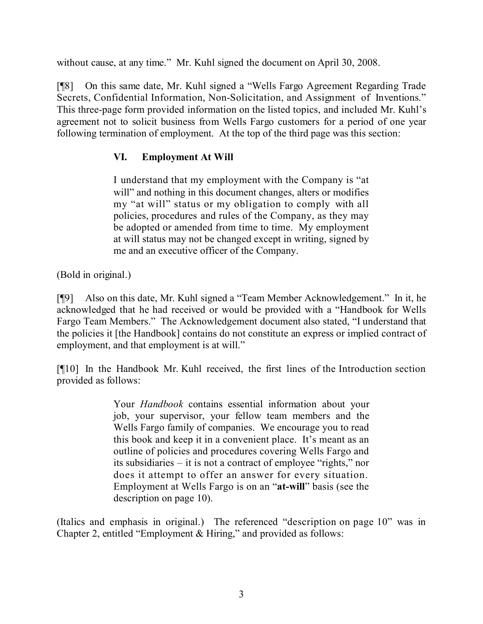without cause, at any time." Mr. Kuhl signed the document on April 30, 2008.

[¶8] On this same date, Mr. Kuhl signed a "Wells Fargo Agreement Regarding Trade Secrets, Confidential Information, Non-Solicitation, and Assignment of Inventions." This three-page form provided information on the listed topics, and included Mr. Kuhl's agreement not to solicit business from Wells Fargo customers for a period of one year following termination of employment. At the top of the third page was this section:

# **VI. Employment At Will**

I understand that my employment with the Company is "at will" and nothing in this document changes, alters or modifies my "at will" status or my obligation to comply with all policies, procedures and rules of the Company, as they may be adopted or amended from time to time. My employment at will status may not be changed except in writing, signed by me and an executive officer of the Company.

(Bold in original.)

[¶9] Also on this date, Mr. Kuhl signed a "Team Member Acknowledgement." In it, he acknowledged that he had received or would be provided with a "Handbook for Wells Fargo Team Members." The Acknowledgement document also stated, "I understand that the policies it [the Handbook] contains do not constitute an express or implied contract of employment, and that employment is at will."

[¶10] In the Handbook Mr. Kuhl received, the first lines of the Introduction section provided as follows:

> Your *Handbook* contains essential information about your job, your supervisor, your fellow team members and the Wells Fargo family of companies. We encourage you to read this book and keep it in a convenient place. It's meant as an outline of policies and procedures covering Wells Fargo and its subsidiaries – it is not a contract of employee "rights," nor does it attempt to offer an answer for every situation. Employment at Wells Fargo is on an "**at-will**" basis (see the description on page 10).

(Italics and emphasis in original.) The referenced "description on page 10" was in Chapter 2, entitled "Employment & Hiring," and provided as follows: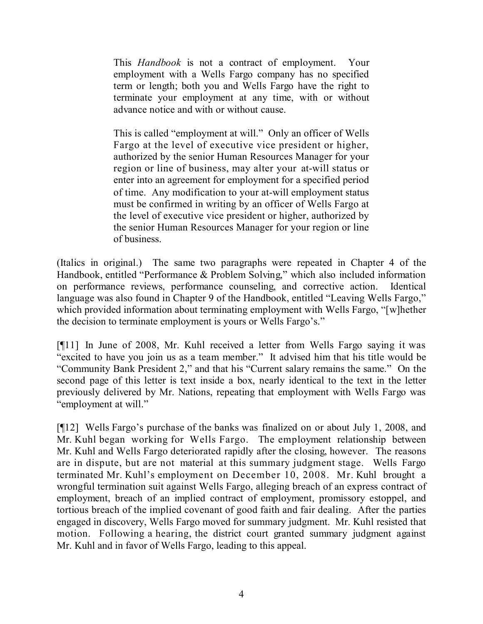This *Handbook* is not a contract of employment. Your employment with a Wells Fargo company has no specified term or length; both you and Wells Fargo have the right to terminate your employment at any time, with or without advance notice and with or without cause.

This is called "employment at will." Only an officer of Wells Fargo at the level of executive vice president or higher, authorized by the senior Human Resources Manager for your region or line of business, may alter your at-will status or enter into an agreement for employment for a specified period of time. Any modification to your at-will employment status must be confirmed in writing by an officer of Wells Fargo at the level of executive vice president or higher, authorized by the senior Human Resources Manager for your region or line of business.

(Italics in original.) The same two paragraphs were repeated in Chapter 4 of the Handbook, entitled "Performance & Problem Solving," which also included information on performance reviews, performance counseling, and corrective action. Identical language was also found in Chapter 9 of the Handbook, entitled "Leaving Wells Fargo," which provided information about terminating employment with Wells Fargo, "[w]hether the decision to terminate employment is yours or Wells Fargo's."

[¶11] In June of 2008, Mr. Kuhl received a letter from Wells Fargo saying it was "excited to have you join us as a team member." It advised him that his title would be "Community Bank President 2," and that his "Current salary remains the same." On the second page of this letter is text inside a box, nearly identical to the text in the letter previously delivered by Mr. Nations, repeating that employment with Wells Fargo was "employment at will."

[¶12] Wells Fargo's purchase of the banks was finalized on or about July 1, 2008, and Mr. Kuhl began working for Wells Fargo. The employment relationship between Mr. Kuhl and Wells Fargo deteriorated rapidly after the closing, however. The reasons are in dispute, but are not material at this summary judgment stage. Wells Fargo terminated Mr. Kuhl's employment on December 10, 2008. Mr. Kuhl brought a wrongful termination suit against Wells Fargo, alleging breach of an express contract of employment, breach of an implied contract of employment, promissory estoppel, and tortious breach of the implied covenant of good faith and fair dealing. After the parties engaged in discovery, Wells Fargo moved for summary judgment. Mr. Kuhl resisted that motion. Following a hearing, the district court granted summary judgment against Mr. Kuhl and in favor of Wells Fargo, leading to this appeal.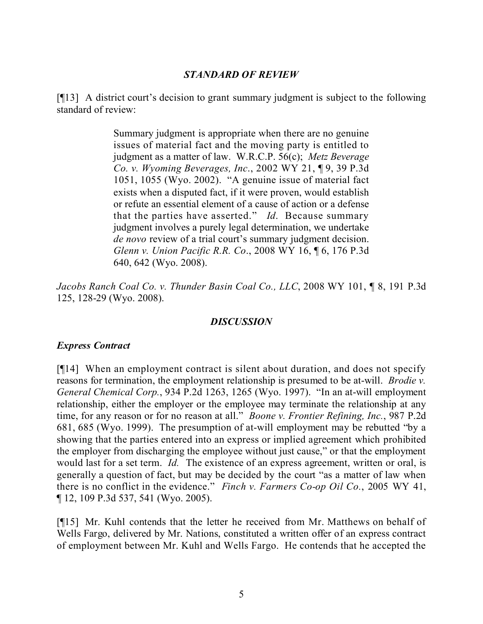### *STANDARD OF REVIEW*

[¶13] A district court's decision to grant summary judgment is subject to the following standard of review:

> Summary judgment is appropriate when there are no genuine issues of material fact and the moving party is entitled to judgment as a matter of law. W.R.C.P. 56(c); *Metz Beverage Co. v. Wyoming Beverages, Inc*., 2002 WY 21, ¶ 9, 39 P.3d 1051, 1055 (Wyo. 2002). "A genuine issue of material fact exists when a disputed fact, if it were proven, would establish or refute an essential element of a cause of action or a defense that the parties have asserted." *Id*. Because summary judgment involves a purely legal determination, we undertake *de novo* review of a trial court's summary judgment decision. *Glenn v. Union Pacific R.R. Co*., 2008 WY 16, ¶ 6, 176 P.3d 640, 642 (Wyo. 2008).

*Jacobs Ranch Coal Co. v. Thunder Basin Coal Co., LLC*, 2008 WY 101, ¶ 8, 191 P.3d 125, 128-29 (Wyo. 2008).

# *DISCUSSION*

#### *Express Contract*

[¶14] When an employment contract is silent about duration, and does not specify reasons for termination, the employment relationship is presumed to be at-will. *Brodie v. General Chemical Corp.*, 934 P.2d 1263, 1265 (Wyo. 1997). "In an at-will employment relationship, either the employer or the employee may terminate the relationship at any time, for any reason or for no reason at all." *Boone v. Frontier Refining, Inc.*, 987 P.2d 681, 685 (Wyo. 1999). The presumption of at-will employment may be rebutted "by a showing that the parties entered into an express or implied agreement which prohibited the employer from discharging the employee without just cause," or that the employment would last for a set term. *Id.* The existence of an express agreement, written or oral, is generally a question of fact, but may be decided by the court "as a matter of law when there is no conflict in the evidence." *Finch v. Farmers Co-op Oil Co.*, 2005 WY 41, ¶ 12, 109 P.3d 537, 541 (Wyo. 2005).

[¶15] Mr. Kuhl contends that the letter he received from Mr. Matthews on behalf of Wells Fargo, delivered by Mr. Nations, constituted a written offer of an express contract of employment between Mr. Kuhl and Wells Fargo. He contends that he accepted the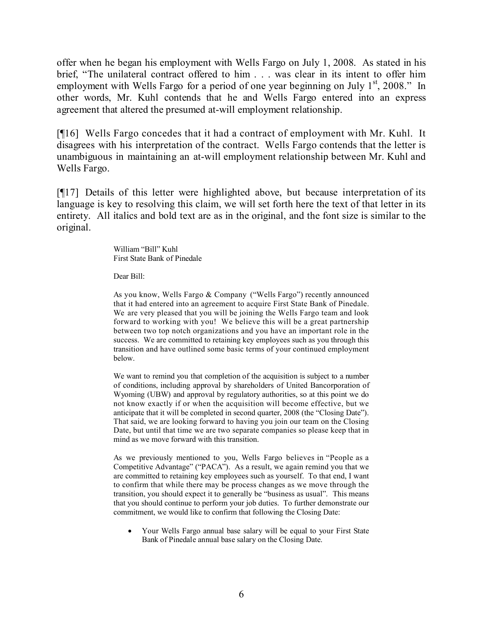offer when he began his employment with Wells Fargo on July 1, 2008. As stated in his brief, "The unilateral contract offered to him . . . was clear in its intent to offer him employment with Wells Fargo for a period of one year beginning on July  $1<sup>st</sup>$ , 2008." In other words, Mr. Kuhl contends that he and Wells Fargo entered into an express agreement that altered the presumed at-will employment relationship.

[¶16] Wells Fargo concedes that it had a contract of employment with Mr. Kuhl. It disagrees with his interpretation of the contract. Wells Fargo contends that the letter is unambiguous in maintaining an at-will employment relationship between Mr. Kuhl and Wells Fargo.

[¶17] Details of this letter were highlighted above, but because interpretation of its language is key to resolving this claim, we will set forth here the text of that letter in its entirety. All italics and bold text are as in the original, and the font size is similar to the original.

> William "Bill" Kuhl First State Bank of Pinedale

Dear Bill:

As you know, Wells Fargo & Company ("Wells Fargo") recently announced that it had entered into an agreement to acquire First State Bank of Pinedale. We are very pleased that you will be joining the Wells Fargo team and look forward to working with you! We believe this will be a great partnership between two top notch organizations and you have an important role in the success. We are committed to retaining key employees such as you through this transition and have outlined some basic terms of your continued employment below.

We want to remind you that completion of the acquisition is subject to a number of conditions, including approval by shareholders of United Bancorporation of Wyoming (UBW) and approval by regulatory authorities, so at this point we do not know exactly if or when the acquisition will become effective, but we anticipate that it will be completed in second quarter, 2008 (the "Closing Date"). That said, we are looking forward to having you join our team on the Closing Date, but until that time we are two separate companies so please keep that in mind as we move forward with this transition.

As we previously mentioned to you, Wells Fargo believes in "People as a Competitive Advantage" ("PACA"). As a result, we again remind you that we are committed to retaining key employees such as yourself. To that end, I want to confirm that while there may be process changes as we move through the transition, you should expect it to generally be "business as usual". This means that you should continue to perform your job duties. To further demonstrate our commitment, we would like to confirm that following the Closing Date:

 Your Wells Fargo annual base salary will be equal to your First State Bank of Pinedale annual base salary on the Closing Date.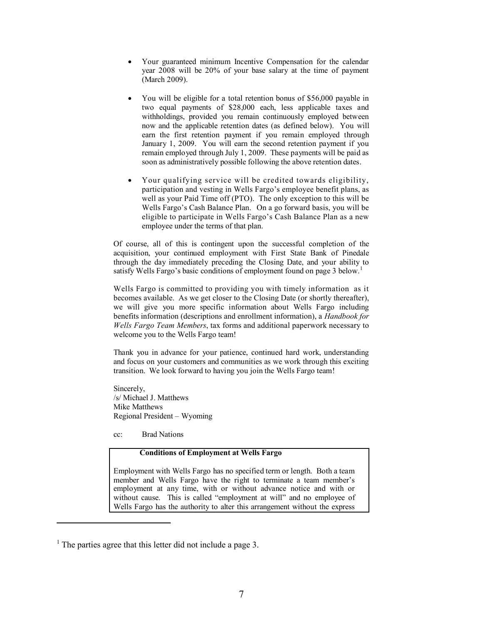- Your guaranteed minimum Incentive Compensation for the calendar year 2008 will be 20% of your base salary at the time of payment (March 2009).
- You will be eligible for a total retention bonus of \$56,000 payable in two equal payments of \$28,000 each, less applicable taxes and withholdings, provided you remain continuously employed between now and the applicable retention dates (as defined below). You will earn the first retention payment if you remain employed through January 1, 2009. You will earn the second retention payment if you remain employed through July 1, 2009. These payments will be paid as soon as administratively possible following the above retention dates.
- Your qualifying service will be credited towards eligibility, participation and vesting in Wells Fargo's employee benefit plans, as well as your Paid Time off (PTO). The only exception to this will be Wells Fargo's Cash Balance Plan. On a go forward basis, you will be eligible to participate in Wells Fargo's Cash Balance Plan as a new employee under the terms of that plan.

Of course, all of this is contingent upon the successful completion of the acquisition, your continued employment with First State Bank of Pinedale through the day immediately preceding the Closing Date, and your ability to satisfy Wells Fargo's basic conditions of employment found on page 3 below.<sup>1</sup>

Wells Fargo is committed to providing you with timely information as it becomes available. As we get closer to the Closing Date (or shortly thereafter), we will give you more specific information about Wells Fargo including benefits information (descriptions and enrollment information), a *Handbook for Wells Fargo Team Members*, tax forms and additional paperwork necessary to welcome you to the Wells Fargo team!

Thank you in advance for your patience, continued hard work, understanding and focus on your customers and communities as we work through this exciting transition. We look forward to having you join the Wells Fargo team!

Sincerely, /s/ Michael J. Matthews Mike Matthews Regional President – Wyoming

cc: Brad Nations

#### **Conditions of Employment at Wells Fargo**

Employment with Wells Fargo has no specified term or length. Both a team member and Wells Fargo have the right to terminate a team member's employment at any time, with or without advance notice and with or without cause. This is called "employment at will" and no employee of Wells Fargo has the authority to alter this arrangement without the express

<sup>&</sup>lt;sup>1</sup> The parties agree that this letter did not include a page 3.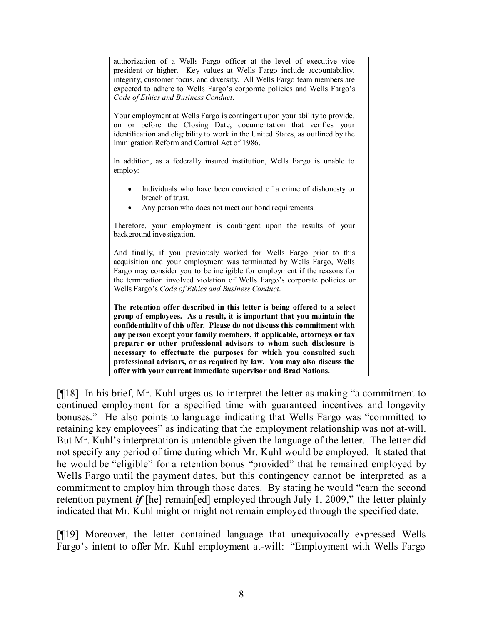authorization of a Wells Fargo officer at the level of executive vice president or higher. Key values at Wells Fargo include accountability, integrity, customer focus, and diversity. All Wells Fargo team members are expected to adhere to Wells Fargo's corporate policies and Wells Fargo's *Code of Ethics and Business Conduct*.

Your employment at Wells Fargo is contingent upon your ability to provide, on or before the Closing Date, documentation that verifies your identification and eligibility to work in the United States, as outlined by the Immigration Reform and Control Act of 1986.

In addition, as a federally insured institution, Wells Fargo is unable to employ:

- Individuals who have been convicted of a crime of dishonesty or breach of trust.
- Any person who does not meet our bond requirements.

Therefore, your employment is contingent upon the results of your background investigation.

And finally, if you previously worked for Wells Fargo prior to this acquisition and your employment was terminated by Wells Fargo, Wells Fargo may consider you to be ineligible for employment if the reasons for the termination involved violation of Wells Fargo's corporate policies or Wells Fargo's *Code of Ethics and Business Conduct*.

**The retention offer described in this letter is being offered to a select group of employees. As a result, it is important that you maintain the confidentiality of this offer. Please do not discuss this commitment with any person except your family members, if applicable, attorneys or tax preparer or other professional advisors to whom such disclosure is necessary to effectuate the purposes for which you consulted such professional advisors, or as required by law. You may also discuss the offer with your current immediate supervisor and Brad Nations.**

[¶18] In his brief, Mr. Kuhl urges us to interpret the letter as making "a commitment to continued employment for a specified time with guaranteed incentives and longevity bonuses." He also points to language indicating that Wells Fargo was "committed to retaining key employees" as indicating that the employment relationship was not at-will. But Mr. Kuhl's interpretation is untenable given the language of the letter. The letter did not specify any period of time during which Mr. Kuhl would be employed. It stated that he would be "eligible" for a retention bonus "provided" that he remained employed by Wells Fargo until the payment dates, but this contingency cannot be interpreted as a commitment to employ him through those dates. By stating he would "earn the second retention payment *if* [he] remain[ed] employed through July 1, 2009," the letter plainly indicated that Mr. Kuhl might or might not remain employed through the specified date.

[¶19] Moreover, the letter contained language that unequivocally expressed Wells Fargo's intent to offer Mr. Kuhl employment at-will: "Employment with Wells Fargo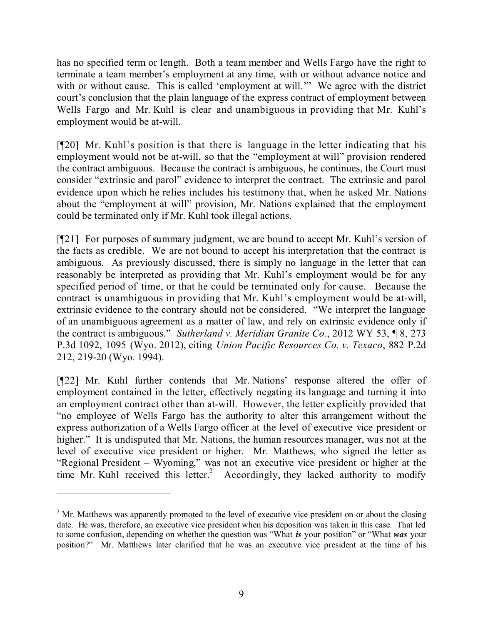has no specified term or length. Both a team member and Wells Fargo have the right to terminate a team member's employment at any time, with or without advance notice and with or without cause. This is called 'employment at will.'" We agree with the district court's conclusion that the plain language of the express contract of employment between Wells Fargo and Mr. Kuhl is clear and unambiguous in providing that Mr. Kuhl's employment would be at-will.

[¶20] Mr. Kuhl's position is that there is language in the letter indicating that his employment would not be at-will, so that the "employment at will" provision rendered the contract ambiguous. Because the contract is ambiguous, he continues, the Court must consider "extrinsic and parol" evidence to interpret the contract. The extrinsic and parol evidence upon which he relies includes his testimony that, when he asked Mr. Nations about the "employment at will" provision, Mr. Nations explained that the employment could be terminated only if Mr. Kuhl took illegal actions.

[¶21] For purposes of summary judgment, we are bound to accept Mr. Kuhl's version of the facts as credible. We are not bound to accept his interpretation that the contract is ambiguous. As previously discussed, there is simply no language in the letter that can reasonably be interpreted as providing that Mr. Kuhl's employment would be for any specified period of time, or that he could be terminated only for cause. Because the contract is unambiguous in providing that Mr. Kuhl's employment would be at-will, extrinsic evidence to the contrary should not be considered. "We interpret the language of an unambiguous agreement as a matter of law, and rely on extrinsic evidence only if the contract is ambiguous." *Sutherland v. Meridian Granite Co.*, 2012 WY 53, ¶ 8, 273 P.3d 1092, 1095 (Wyo. 2012), citing *Union Pacific Resources Co. v. Texaco*, 882 P.2d 212, 219-20 (Wyo. 1994).

[¶22] Mr. Kuhl further contends that Mr. Nations' response altered the offer of employment contained in the letter, effectively negating its language and turning it into an employment contract other than at-will. However, the letter explicitly provided that "no employee of Wells Fargo has the authority to alter this arrangement without the express authorization of a Wells Fargo officer at the level of executive vice president or higher." It is undisputed that Mr. Nations, the human resources manager, was not at the level of executive vice president or higher. Mr. Matthews, who signed the letter as "Regional President – Wyoming," was not an executive vice president or higher at the time Mr. Kuhl received this letter. <sup>2</sup> Accordingly, they lacked authority to modify

 $2$  Mr. Matthews was apparently promoted to the level of executive vice president on or about the closing date. He was, therefore, an executive vice president when his deposition was taken in this case. That led to some confusion, depending on whether the question was "What *is* your position" or "What *was* your position?" Mr. Matthews later clarified that he was an executive vice president at the time of his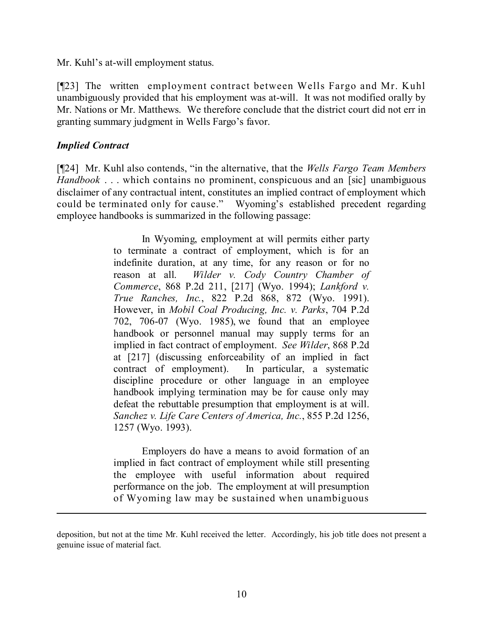Mr. Kuhl's at-will employment status.

[¶23] The written employment contract between Wells Fargo and Mr. Kuhl unambiguously provided that his employment was at-will. It was not modified orally by Mr. Nations or Mr. Matthews. We therefore conclude that the district court did not err in granting summary judgment in Wells Fargo's favor.

# *Implied Contract*

[¶24] Mr. Kuhl also contends, "in the alternative, that the *Wells Fargo Team Members Handbook* . . . which contains no prominent, conspicuous and an [sic] unambiguous disclaimer of any contractual intent, constitutes an implied contract of employment which could be terminated only for cause." Wyoming's established precedent regarding employee handbooks is summarized in the following passage:

> In Wyoming, employment at will permits either party to terminate a contract of employment, which is for an indefinite duration, at any time, for any reason or for no reason at all. *Wilder v. Cody Country Chamber of Commerce*, 868 P.2d 211, [217] (Wyo. 1994); *Lankford v. True Ranches, Inc.*, 822 P.2d 868, 872 (Wyo. 1991). However, in *Mobil Coal Producing, Inc. v. Parks*, 704 P.2d 702, 706-07 (Wyo. 1985), we found that an employee handbook or personnel manual may supply terms for an implied in fact contract of employment. *See Wilder*, 868 P.2d at [217] (discussing enforceability of an implied in fact contract of employment). In particular, a systematic discipline procedure or other language in an employee handbook implying termination may be for cause only may defeat the rebuttable presumption that employment is at will. *Sanchez v. Life Care Centers of America, Inc.*, 855 P.2d 1256, 1257 (Wyo. 1993).

> Employers do have a means to avoid formation of an implied in fact contract of employment while still presenting the employee with useful information about required performance on the job. The employment at will presumption of Wyoming law may be sustained when unambiguous

 $\overline{a}$ 

deposition, but not at the time Mr. Kuhl received the letter. Accordingly, his job title does not present a genuine issue of material fact.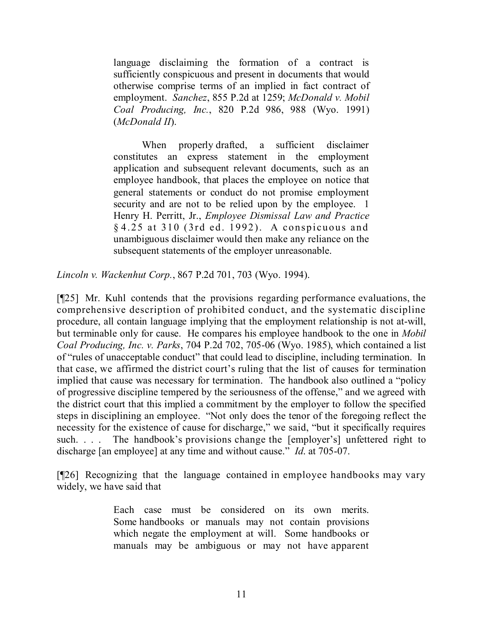language disclaiming the formation of a contract is sufficiently conspicuous and present in documents that would otherwise comprise terms of an implied in fact contract of employment. *Sanchez*, 855 P.2d at 1259; *McDonald v. Mobil Coal Producing, Inc.*, 820 P.2d 986, 988 (Wyo. 1991) (*McDonald II*).

When properly drafted, a sufficient disclaimer constitutes an express statement in the employment application and subsequent relevant documents, such as an employee handbook, that places the employee on notice that general statements or conduct do not promise employment security and are not to be relied upon by the employee. 1 Henry H. Perritt, Jr., *Employee Dismissal Law and Practice* § 4.25 at 310 (3rd ed. 1992). A conspicuous and unambiguous disclaimer would then make any reliance on the subsequent statements of the employer unreasonable.

*Lincoln v. Wackenhut Corp.*, 867 P.2d 701, 703 (Wyo. 1994).

[¶25] Mr. Kuhl contends that the provisions regarding performance evaluations, the comprehensive description of prohibited conduct, and the systematic discipline procedure, all contain language implying that the employment relationship is not at-will, but terminable only for cause. He compares his employee handbook to the one in *Mobil Coal Producing, Inc. v. Parks*, 704 P.2d 702, 705-06 (Wyo. 1985), which contained a list of "rules of unacceptable conduct" that could lead to discipline, including termination. In that case, we affirmed the district court's ruling that the list of causes for termination implied that cause was necessary for termination. The handbook also outlined a "policy of progressive discipline tempered by the seriousness of the offense," and we agreed with the district court that this implied a commitment by the employer to follow the specified steps in disciplining an employee. "Not only does the tenor of the foregoing reflect the necessity for the existence of cause for discharge," we said, "but it specifically requires such. . . . The handbook's provisions change the [employer's] unfettered right to discharge [an employee] at any time and without cause." *Id*. at 705-07.

[¶26] Recognizing that the language contained in employee handbooks may vary widely, we have said that

> Each case must be considered on its own merits. Some handbooks or manuals may not contain provisions which negate the employment at will. Some handbooks or manuals may be ambiguous or may not have apparent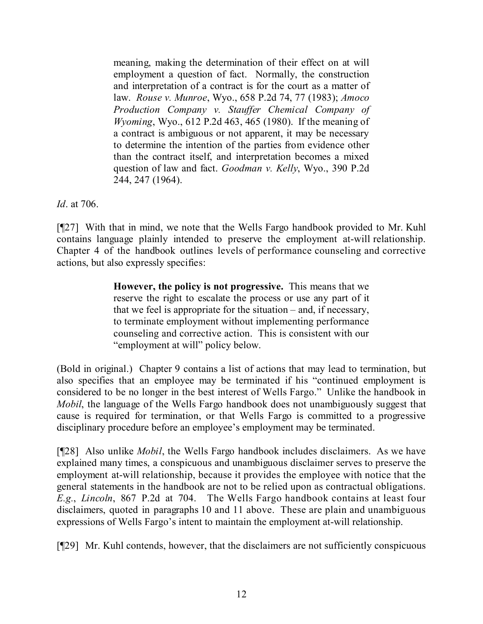meaning, making the determination of their effect on at will employment a question of fact. Normally, the construction and interpretation of a contract is for the court as a matter of law. *Rouse v. Munroe*, Wyo., 658 P.2d 74, 77 (1983); *Amoco Production Company v. Stauffer Chemical Company of Wyoming*, Wyo., 612 P.2d 463, 465 (1980). If the meaning of a contract is ambiguous or not apparent, it may be necessary to determine the intention of the parties from evidence other than the contract itself, and interpretation becomes a mixed question of law and fact. *Goodman v. Kelly*, Wyo., 390 P.2d 244, 247 (1964).

*Id*. at 706.

[¶27] With that in mind, we note that the Wells Fargo handbook provided to Mr. Kuhl contains language plainly intended to preserve the employment at-will relationship. Chapter 4 of the handbook outlines levels of performance counseling and corrective actions, but also expressly specifies:

> **However, the policy is not progressive.** This means that we reserve the right to escalate the process or use any part of it that we feel is appropriate for the situation – and, if necessary, to terminate employment without implementing performance counseling and corrective action. This is consistent with our "employment at will" policy below.

(Bold in original.) Chapter 9 contains a list of actions that may lead to termination, but also specifies that an employee may be terminated if his "continued employment is considered to be no longer in the best interest of Wells Fargo." Unlike the handbook in *Mobil*, the language of the Wells Fargo handbook does not unambiguously suggest that cause is required for termination, or that Wells Fargo is committed to a progressive disciplinary procedure before an employee's employment may be terminated.

[¶28] Also unlike *Mobil*, the Wells Fargo handbook includes disclaimers. As we have explained many times, a conspicuous and unambiguous disclaimer serves to preserve the employment at-will relationship, because it provides the employee with notice that the general statements in the handbook are not to be relied upon as contractual obligations. *E.g.*, *Lincoln*, 867 P.2d at 704. The Wells Fargo handbook contains at least four disclaimers, quoted in paragraphs 10 and 11 above. These are plain and unambiguous expressions of Wells Fargo's intent to maintain the employment at-will relationship.

[¶29] Mr. Kuhl contends, however, that the disclaimers are not sufficiently conspicuous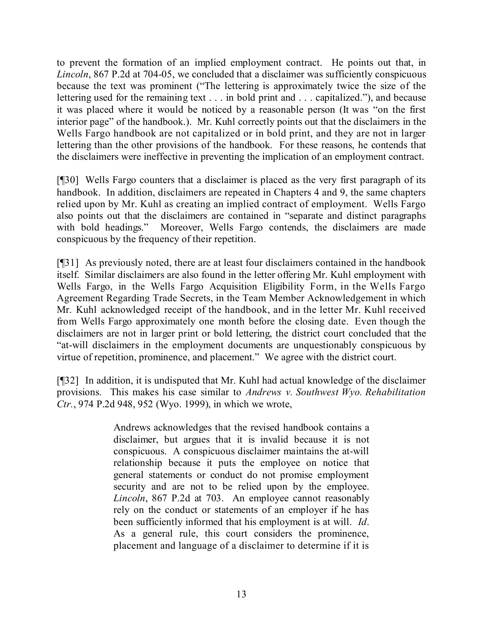to prevent the formation of an implied employment contract. He points out that, in *Lincoln*, 867 P.2d at 704-05, we concluded that a disclaimer was sufficiently conspicuous because the text was prominent ("The lettering is approximately twice the size of the lettering used for the remaining text . . . in bold print and . . . capitalized."), and because it was placed where it would be noticed by a reasonable person (It was "on the first interior page" of the handbook.). Mr. Kuhl correctly points out that the disclaimers in the Wells Fargo handbook are not capitalized or in bold print, and they are not in larger lettering than the other provisions of the handbook. For these reasons, he contends that the disclaimers were ineffective in preventing the implication of an employment contract.

[¶30] Wells Fargo counters that a disclaimer is placed as the very first paragraph of its handbook. In addition, disclaimers are repeated in Chapters 4 and 9, the same chapters relied upon by Mr. Kuhl as creating an implied contract of employment. Wells Fargo also points out that the disclaimers are contained in "separate and distinct paragraphs with bold headings." Moreover, Wells Fargo contends, the disclaimers are made conspicuous by the frequency of their repetition.

[¶31] As previously noted, there are at least four disclaimers contained in the handbook itself. Similar disclaimers are also found in the letter offering Mr. Kuhl employment with Wells Fargo, in the Wells Fargo Acquisition Eligibility Form, in the Wells Fargo Agreement Regarding Trade Secrets, in the Team Member Acknowledgement in which Mr. Kuhl acknowledged receipt of the handbook, and in the letter Mr. Kuhl received from Wells Fargo approximately one month before the closing date. Even though the disclaimers are not in larger print or bold lettering, the district court concluded that the "at-will disclaimers in the employment documents are unquestionably conspicuous by virtue of repetition, prominence, and placement." We agree with the district court.

[¶32] In addition, it is undisputed that Mr. Kuhl had actual knowledge of the disclaimer provisions. This makes his case similar to *Andrews v. Southwest Wyo. Rehabilitation Ctr.*, 974 P.2d 948, 952 (Wyo. 1999), in which we wrote,

> Andrews acknowledges that the revised handbook contains a disclaimer, but argues that it is invalid because it is not conspicuous. A conspicuous disclaimer maintains the at-will relationship because it puts the employee on notice that general statements or conduct do not promise employment security and are not to be relied upon by the employee. *Lincoln*, 867 P.2d at 703. An employee cannot reasonably rely on the conduct or statements of an employer if he has been sufficiently informed that his employment is at will. *Id*. As a general rule, this court considers the prominence, placement and language of a disclaimer to determine if it is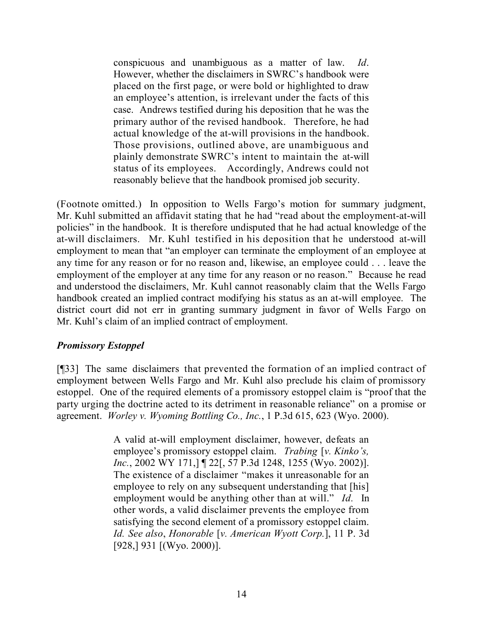conspicuous and unambiguous as a matter of law. *Id*. However, whether the disclaimers in SWRC's handbook were placed on the first page, or were bold or highlighted to draw an employee's attention, is irrelevant under the facts of this case. Andrews testified during his deposition that he was the primary author of the revised handbook. Therefore, he had actual knowledge of the at-will provisions in the handbook. Those provisions, outlined above, are unambiguous and plainly demonstrate SWRC's intent to maintain the at-will status of its employees. Accordingly, Andrews could not reasonably believe that the handbook promised job security.

(Footnote omitted.) In opposition to Wells Fargo's motion for summary judgment, Mr. Kuhl submitted an affidavit stating that he had "read about the employment-at-will policies" in the handbook. It is therefore undisputed that he had actual knowledge of the at-will disclaimers. Mr. Kuhl testified in his deposition that he understood at-will employment to mean that "an employer can terminate the employment of an employee at any time for any reason or for no reason and, likewise, an employee could . . . leave the employment of the employer at any time for any reason or no reason." Because he read and understood the disclaimers, Mr. Kuhl cannot reasonably claim that the Wells Fargo handbook created an implied contract modifying his status as an at-will employee. The district court did not err in granting summary judgment in favor of Wells Fargo on Mr. Kuhl's claim of an implied contract of employment.

# *Promissory Estoppel*

[¶33] The same disclaimers that prevented the formation of an implied contract of employment between Wells Fargo and Mr. Kuhl also preclude his claim of promissory estoppel. One of the required elements of a promissory estoppel claim is "proof that the party urging the doctrine acted to its detriment in reasonable reliance" on a promise or agreement. *Worley v. Wyoming Bottling Co., Inc.*, 1 P.3d 615, 623 (Wyo. 2000).

> A valid at-will employment disclaimer, however, defeats an employee's promissory estoppel claim. *Trabing* [*v. Kinko's, Inc.*, 2002 WY 171,] [22], 57 P.3d 1248, 1255 (Wyo. 2002)]. The existence of a disclaimer "makes it unreasonable for an employee to rely on any subsequent understanding that [his] employment would be anything other than at will." *Id.* In other words, a valid disclaimer prevents the employee from satisfying the second element of a promissory estoppel claim. *Id. See also*, *Honorable* [*v. American Wyott Corp.*], 11 P. 3d [928,] 931 [(Wyo. 2000)].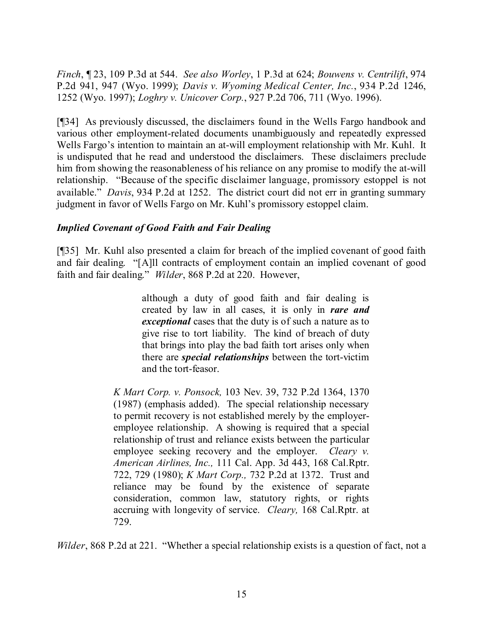*Finch*, ¶ 23, 109 P.3d at 544. *See also Worley*, 1 P.3d at 624; *Bouwens v. Centrilift*, 974 P.2d 941, 947 (Wyo. 1999); *Davis v. Wyoming Medical Center, Inc.*, 934 P.2d 1246, 1252 (Wyo. 1997); *Loghry v. Unicover Corp.*, 927 P.2d 706, 711 (Wyo. 1996).

[¶34] As previously discussed, the disclaimers found in the Wells Fargo handbook and various other employment-related documents unambiguously and repeatedly expressed Wells Fargo's intention to maintain an at-will employment relationship with Mr. Kuhl. It is undisputed that he read and understood the disclaimers. These disclaimers preclude him from showing the reasonableness of his reliance on any promise to modify the at-will relationship. "Because of the specific disclaimer language, promissory estoppel is not available." *Davis*, 934 P.2d at 1252. The district court did not err in granting summary judgment in favor of Wells Fargo on Mr. Kuhl's promissory estoppel claim.

# *Implied Covenant of Good Faith and Fair Dealing*

[¶35] Mr. Kuhl also presented a claim for breach of the implied covenant of good faith and fair dealing. "[A]ll contracts of employment contain an implied covenant of good faith and fair dealing." *Wilder*, 868 P.2d at 220. However,

> although a duty of good faith and fair dealing is created by law in all cases, it is only in *rare and exceptional* cases that the duty is of such a nature as to give rise to tort liability. The kind of breach of duty that brings into play the bad faith tort arises only when there are *special relationships* between the tort-victim and the tort-feasor.

*K Mart Corp. v. Ponsock,* 103 Nev. 39, 732 P.2d 1364, 1370 (1987) (emphasis added). The special relationship necessary to permit recovery is not established merely by the employeremployee relationship. A showing is required that a special relationship of trust and reliance exists between the particular employee seeking recovery and the employer. *Cleary v. American Airlines, Inc.,* 111 Cal. App. 3d 443, 168 Cal.Rptr. 722, 729 (1980); *K Mart Corp.,* 732 P.2d at 1372. Trust and reliance may be found by the existence of separate consideration, common law, statutory rights, or rights accruing with longevity of service. *Cleary,* 168 Cal.Rptr. at 729.

*Wilder*, 868 P.2d at 221. "Whether a special relationship exists is a question of fact, not a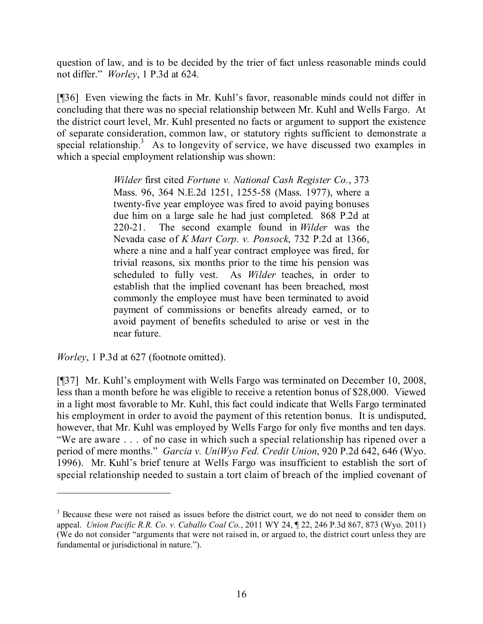question of law, and is to be decided by the trier of fact unless reasonable minds could not differ." *Worley*, 1 P.3d at 624.

[¶36] Even viewing the facts in Mr. Kuhl's favor, reasonable minds could not differ in concluding that there was no special relationship between Mr. Kuhl and Wells Fargo. At the district court level, Mr. Kuhl presented no facts or argument to support the existence of separate consideration, common law, or statutory rights sufficient to demonstrate a special relationship.<sup>3</sup> As to longevity of service, we have discussed two examples in which a special employment relationship was shown:

> *Wilder* first cited *Fortune v. National Cash Register Co.*, 373 Mass. 96, 364 N.E.2d 1251, 1255-58 (Mass. 1977), where a twenty-five year employee was fired to avoid paying bonuses due him on a large sale he had just completed. 868 P.2d at 220-21. The second example found in *Wilder* was the Nevada case of *K Mart Corp. v. Ponsock*, 732 P.2d at 1366, where a nine and a half year contract employee was fired, for trivial reasons, six months prior to the time his pension was scheduled to fully vest. As *Wilder* teaches, in order to establish that the implied covenant has been breached, most commonly the employee must have been terminated to avoid payment of commissions or benefits already earned, or to avoid payment of benefits scheduled to arise or vest in the near future.

*Worley*, 1 P.3d at 627 (footnote omitted).

[¶37] Mr. Kuhl's employment with Wells Fargo was terminated on December 10, 2008, less than a month before he was eligible to receive a retention bonus of \$28,000. Viewed in a light most favorable to Mr. Kuhl, this fact could indicate that Wells Fargo terminated his employment in order to avoid the payment of this retention bonus. It is undisputed, however, that Mr. Kuhl was employed by Wells Fargo for only five months and ten days. "We are aware . . . of no case in which such a special relationship has ripened over a period of mere months." *Garcia v. UniWyo Fed. Credit Union*, 920 P.2d 642, 646 (Wyo. 1996). Mr. Kuhl's brief tenure at Wells Fargo was insufficient to establish the sort of special relationship needed to sustain a tort claim of breach of the implied covenant of

<sup>&</sup>lt;sup>3</sup> Because these were not raised as issues before the district court, we do not need to consider them on appeal. *Union Pacific R.R. Co. v. Caballo Coal Co.*, 2011 WY 24, ¶ 22, 246 P.3d 867, 873 (Wyo. 2011) (We do not consider "arguments that were not raised in, or argued to, the district court unless they are fundamental or jurisdictional in nature.").